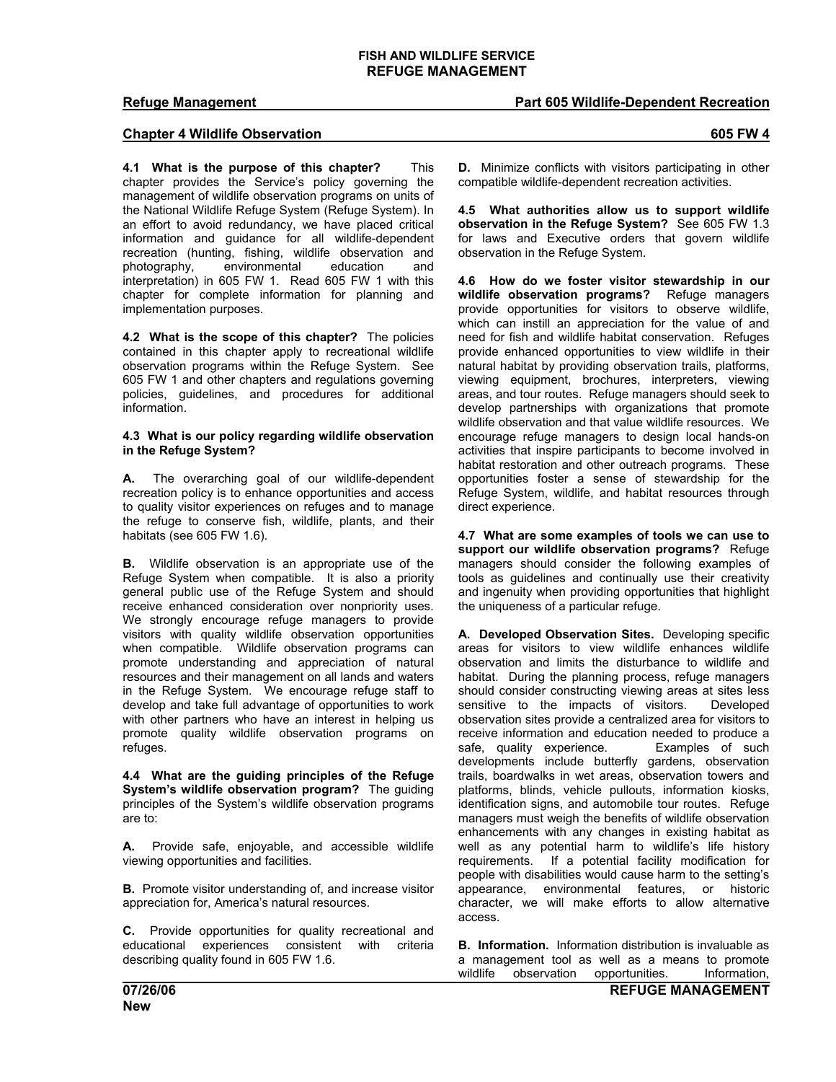## **Refuge Management Part 605 Wildlife-Dependent Recreation**

## **Chapter 4 Wildlife Observation 605 FW 4**

**4.1 What is the purpose of this chapter?** This chapter provides the Service's policy governing the management of wildlife observation programs on units of the National Wildlife Refuge System (Refuge System). In an effort to avoid redundancy, we have placed critical information and guidance for all wildlife-dependent recreation (hunting, fishing, wildlife observation and photography, environmental education and interpretation) in 605 FW 1. Read 605 FW 1 with this chapter for complete information for planning and implementation purposes.

**4.2 What is the scope of this chapter?** The policies contained in this chapter apply to recreational wildlife observation programs within the Refuge System. See 605 FW 1 and other chapters and regulations governing policies, guidelines, and procedures for additional information.

### **4.3 What is our policy regarding wildlife observation in the Refuge System?**

**A.** The overarching goal of our wildlife-dependent recreation policy is to enhance opportunities and access to quality visitor experiences on refuges and to manage the refuge to conserve fish, wildlife, plants, and their habitats (see 605 FW 1.6).

**B.** Wildlife observation is an appropriate use of the Refuge System when compatible. It is also a priority general public use of the Refuge System and should receive enhanced consideration over nonpriority uses. We strongly encourage refuge managers to provide visitors with quality wildlife observation opportunities when compatible. Wildlife observation programs can promote understanding and appreciation of natural resources and their management on all lands and waters in the Refuge System. We encourage refuge staff to develop and take full advantage of opportunities to work with other partners who have an interest in helping us promote quality wildlife observation programs on refuges.

**4.4 What are the guiding principles of the Refuge System's wildlife observation program?** The guiding principles of the System's wildlife observation programs are to:

**A.** Provide safe, enjoyable, and accessible wildlife viewing opportunities and facilities.

**B.** Promote visitor understanding of, and increase visitor appreciation for, America's natural resources.

**C.** Provide opportunities for quality recreational and educational experiences consistent with criteria describing quality found in 605 FW 1.6.

**D.** Minimize conflicts with visitors participating in other compatible wildlife-dependent recreation activities.

**4.5 What authorities allow us to support wildlife observation in the Refuge System?** See 605 FW 1.3 for laws and Executive orders that govern wildlife observation in the Refuge System.

**4.6 How do we foster visitor stewardship in our wildlife observation programs?** Refuge managers provide opportunities for visitors to observe wildlife, which can instill an appreciation for the value of and need for fish and wildlife habitat conservation. Refuges provide enhanced opportunities to view wildlife in their natural habitat by providing observation trails, platforms, viewing equipment, brochures, interpreters, viewing areas, and tour routes. Refuge managers should seek to develop partnerships with organizations that promote wildlife observation and that value wildlife resources. We encourage refuge managers to design local hands-on activities that inspire participants to become involved in habitat restoration and other outreach programs*.* These opportunities foster a sense of stewardship for the Refuge System, wildlife, and habitat resources through direct experience.

**4.7 What are some examples of tools we can use to support our wildlife observation programs?** Refuge managers should consider the following examples of tools as guidelines and continually use their creativity and ingenuity when providing opportunities that highlight the uniqueness of a particular refuge.

**A. Developed Observation Sites.** Developing specific areas for visitors to view wildlife enhances wildlife observation and limits the disturbance to wildlife and habitat. During the planning process, refuge managers should consider constructing viewing areas at sites less sensitive to the impacts of visitors. Developed observation sites provide a centralized area for visitors to receive information and education needed to produce a safe, quality experience. Examples of such developments include butterfly gardens, observation trails, boardwalks in wet areas, observation towers and platforms, blinds, vehicle pullouts, information kiosks, identification signs, and automobile tour routes. Refuge managers must weigh the benefits of wildlife observation enhancements with any changes in existing habitat as well as any potential harm to wildlife's life history requirements. If a potential facility modification for people with disabilities would cause harm to the setting's appearance, environmental features, or historic character, we will make efforts to allow alternative access.

**B. Information.** Information distribution is invaluable as a management tool as well as a means to promote wildlife observation opportunities. Information,